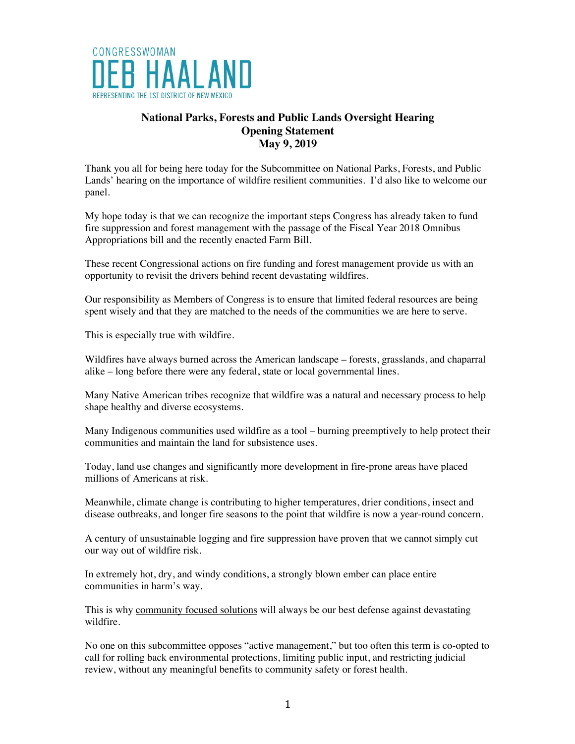

## **National Parks, Forests and Public Lands Oversight Hearing Opening Statement May 9, 2019**

Thank you all for being here today for the Subcommittee on National Parks, Forests, and Public Lands' hearing on the importance of wildfire resilient communities. I'd also like to welcome our panel.

My hope today is that we can recognize the important steps Congress has already taken to fund fire suppression and forest management with the passage of the Fiscal Year 2018 Omnibus Appropriations bill and the recently enacted Farm Bill.

These recent Congressional actions on fire funding and forest management provide us with an opportunity to revisit the drivers behind recent devastating wildfires.

Our responsibility as Members of Congress is to ensure that limited federal resources are being spent wisely and that they are matched to the needs of the communities we are here to serve.

This is especially true with wildfire.

Wildfires have always burned across the American landscape – forests, grasslands, and chaparral alike – long before there were any federal, state or local governmental lines.

Many Native American tribes recognize that wildfire was a natural and necessary process to help shape healthy and diverse ecosystems.

Many Indigenous communities used wildfire as a tool – burning preemptively to help protect their communities and maintain the land for subsistence uses.

Today, land use changes and significantly more development in fire-prone areas have placed millions of Americans at risk.

Meanwhile, climate change is contributing to higher temperatures, drier conditions, insect and disease outbreaks, and longer fire seasons to the point that wildfire is now a year-round concern.

A century of unsustainable logging and fire suppression have proven that we cannot simply cut our way out of wildfire risk.

In extremely hot, dry, and windy conditions, a strongly blown ember can place entire communities in harm's way.

This is why community focused solutions will always be our best defense against devastating wildfire.

No one on this subcommittee opposes "active management," but too often this term is co-opted to call for rolling back environmental protections, limiting public input, and restricting judicial review, without any meaningful benefits to community safety or forest health.